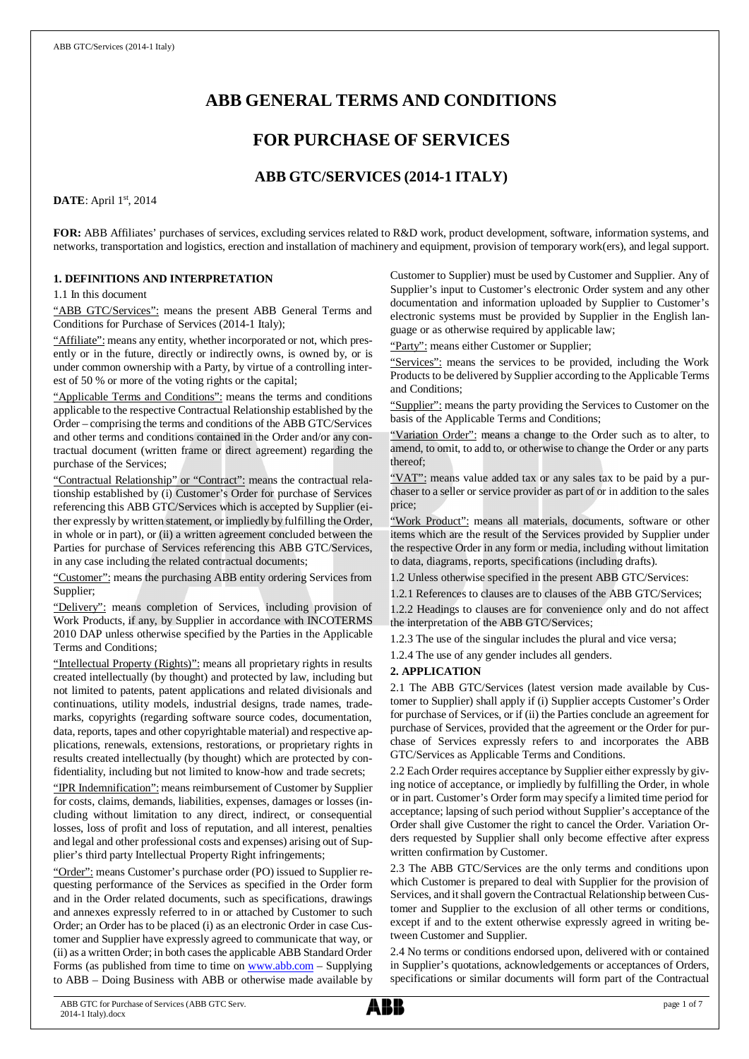# **ABB GENERAL TERMS AND CONDITIONS**

# **FOR PURCHASE OF SERVICES**

# **ABB GTC/SERVICES (2014-1 ITALY)**

### **DATE**: April 1st, 2014

**FOR:** ABB Affiliates' purchases of services, excluding services related to R&D work, product development, software, information systems, and networks, transportation and logistics, erection and installation of machinery and equipment, provision of temporary work(ers), and legal support.

### **1. DEFINITIONS AND INTERPRETATION**

1.1 In this document

"ABB GTC/Services": means the present ABB General Terms and Conditions for Purchase of Services (2014-1 Italy);

"Affiliate": means any entity, whether incorporated or not, which presently or in the future, directly or indirectly owns, is owned by, or is under common ownership with a Party, by virtue of a controlling interest of 50 % or more of the voting rights or the capital;

"Applicable Terms and Conditions": means the terms and conditions applicable to the respective Contractual Relationship established by the Order – comprising the terms and conditions of the ABB GTC/Services and other terms and conditions contained in the Order and/or any contractual document (written frame or direct agreement) regarding the purchase of the Services;

"Contractual Relationship" or "Contract": means the contractual relationship established by (i) Customer's Order for purchase of Services referencing this ABB GTC/Services which is accepted by Supplier (either expressly by written statement, or impliedly by fulfilling the Order, in whole or in part), or (ii) a written agreement concluded between the Parties for purchase of Services referencing this ABB GTC/Services, in any case including the related contractual documents;

"Customer": means the purchasing ABB entity ordering Services from Supplier;

"Delivery": means completion of Services, including provision of Work Products, if any, by Supplier in accordance with INCOTERMS 2010 DAP unless otherwise specified by the Parties in the Applicable Terms and Conditions;

"Intellectual Property (Rights)": means all proprietary rights in results created intellectually (by thought) and protected by law, including but not limited to patents, patent applications and related divisionals and continuations, utility models, industrial designs, trade names, trademarks, copyrights (regarding software source codes, documentation, data, reports, tapes and other copyrightable material) and respective applications, renewals, extensions, restorations, or proprietary rights in results created intellectually (by thought) which are protected by confidentiality, including but not limited to know-how and trade secrets;

"IPR Indemnification": means reimbursement of Customer by Supplier for costs, claims, demands, liabilities, expenses, damages or losses (including without limitation to any direct, indirect, or consequential losses, loss of profit and loss of reputation, and all interest, penalties and legal and other professional costs and expenses) arising out of Supplier's third party Intellectual Property Right infringements;

"Order": means Customer's purchase order (PO) issued to Supplier requesting performance of the Services as specified in the Order form and in the Order related documents, such as specifications, drawings and annexes expressly referred to in or attached by Customer to such Order; an Order has to be placed (i) as an electronic Order in case Customer and Supplier have expressly agreed to communicate that way, or (ii) as a written Order; in both cases the applicable ABB Standard Order Forms (as published from time to time on [www.abb.com](http://www.abb.com/) - Supplying to ABB – Doing Business with ABB or otherwise made available by

Customer to Supplier) must be used by Customer and Supplier. Any of Supplier's input to Customer's electronic Order system and any other documentation and information uploaded by Supplier to Customer's electronic systems must be provided by Supplier in the English language or as otherwise required by applicable law;

"Party": means either Customer or Supplier;

"Services": means the services to be provided, including the Work Products to be delivered by Supplier according to the Applicable Terms and Conditions;

"Supplier": means the party providing the Services to Customer on the basis of the Applicable Terms and Conditions;

"Variation Order": means a change to the Order such as to alter, to amend, to omit, to add to, or otherwise to change the Order or any parts thereof;

"VAT": means value added tax or any sales tax to be paid by a purchaser to a seller or service provider as part of or in addition to the sales price;

"Work Product": means all materials, documents, software or other items which are the result of the Services provided by Supplier under the respective Order in any form or media, including without limitation to data, diagrams, reports, specifications (including drafts).

1.2 Unless otherwise specified in the present ABB GTC/Services:

1.2.1 References to clauses are to clauses of the ABB GTC/Services; 1.2.2 Headings to clauses are for convenience only and do not affect the interpretation of the ABB GTC/Services;

1.2.3 The use of the singular includes the plural and vice versa;

1.2.4 The use of any gender includes all genders.

### **2. APPLICATION**

2.1 The ABB GTC/Services (latest version made available by Customer to Supplier) shall apply if (i) Supplier accepts Customer's Order for purchase of Services, or if (ii) the Parties conclude an agreement for purchase of Services, provided that the agreement or the Order for purchase of Services expressly refers to and incorporates the ABB GTC/Services as Applicable Terms and Conditions.

2.2 Each Order requires acceptance by Supplier either expressly by giving notice of acceptance, or impliedly by fulfilling the Order, in whole or in part. Customer's Order form may specify a limited time period for acceptance; lapsing of such period without Supplier's acceptance of the Order shall give Customer the right to cancel the Order. Variation Orders requested by Supplier shall only become effective after express written confirmation by Customer.

2.3 The ABB GTC/Services are the only terms and conditions upon which Customer is prepared to deal with Supplier for the provision of Services, and it shall govern the Contractual Relationship between Customer and Supplier to the exclusion of all other terms or conditions, except if and to the extent otherwise expressly agreed in writing between Customer and Supplier.

2.4 No terms or conditions endorsed upon, delivered with or contained in Supplier's quotations, acknowledgements or acceptances of Orders, specifications or similar documents will form part of the Contractual

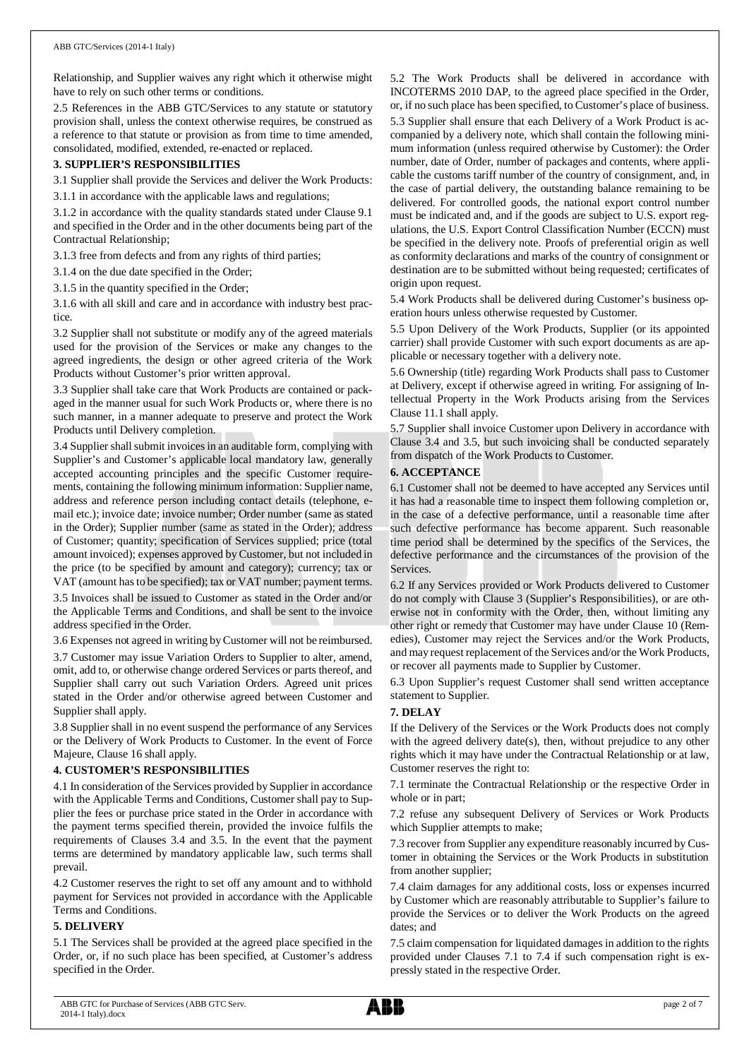Relationship, and Supplier waives any right which it otherwise might have to rely on such other terms or conditions.

2.5 References in the ABB GTC/Services to any statute or statutory provision shall, unless the context otherwise requires, be construed as a reference to that statute or provision as from time to time amended, consolidated, modified, extended, re-enacted or replaced.

### **3. SUPPLIER'S RESPONSIBILITIES**

3.1 Supplier shall provide the Services and deliver the Work Products:

3.1.1 in accordance with the applicable laws and regulations;

3.1.2 in accordance with the quality standards stated under Clause 9.1 and specified in the Order and in the other documents being part of the Contractual Relationship;

3.1.3 free from defects and from any rights of third parties;

3.1.4 on the due date specified in the Order;

3.1.5 in the quantity specified in the Order;

3.1.6 with all skill and care and in accordance with industry best practice.

3.2 Supplier shall not substitute or modify any of the agreed materials used for the provision of the Services or make any changes to the agreed ingredients, the design or other agreed criteria of the Work Products without Customer's prior written approval.

3.3 Supplier shall take care that Work Products are contained or packaged in the manner usual for such Work Products or, where there is no such manner, in a manner adequate to preserve and protect the Work Products until Delivery completion.

3.4 Supplier shall submit invoices in an auditable form, complying with Supplier's and Customer's applicable local mandatory law, generally accepted accounting principles and the specific Customer requirements, containing the following minimum information: Supplier name, address and reference person including contact details (telephone, email etc.); invoice date; invoice number; Order number (same as stated in the Order); Supplier number (same as stated in the Order); address of Customer; quantity; specification of Services supplied; price (total amount invoiced); expenses approved by Customer, but not included in the price (to be specified by amount and category); currency; tax or VAT (amount has to be specified); tax or VAT number; payment terms. 3.5 Invoices shall be issued to Customer as stated in the Order and/or

the Applicable Terms and Conditions, and shall be sent to the invoice address specified in the Order.

3.6 Expenses not agreed in writing by Customer will not be reimbursed.

3.7 Customer may issue Variation Orders to Supplier to alter, amend, omit, add to, or otherwise change ordered Services or parts thereof, and Supplier shall carry out such Variation Orders. Agreed unit prices stated in the Order and/or otherwise agreed between Customer and Supplier shall apply.

3.8 Supplier shall in no event suspend the performance of any Services or the Delivery of Work Products to Customer. In the event of Force Majeure, Clause 16 shall apply.

### **4. CUSTOMER'S RESPONSIBILITIES**

4.1 In consideration of the Services provided by Supplier in accordance with the Applicable Terms and Conditions, Customer shall pay to Supplier the fees or purchase price stated in the Order in accordance with the payment terms specified therein, provided the invoice fulfils the requirements of Clauses 3.4 and 3.5. In the event that the payment terms are determined by mandatory applicable law, such terms shall prevail.

4.2 Customer reserves the right to set off any amount and to withhold payment for Services not provided in accordance with the Applicable Terms and Conditions.

### **5. DELIVERY**

5.1 The Services shall be provided at the agreed place specified in the Order, or, if no such place has been specified, at Customer's address specified in the Order.

5.2 The Work Products shall be delivered in accordance with INCOTERMS 2010 DAP, to the agreed place specified in the Order, or, if no such place has been specified, to Customer's place of business. 5.3 Supplier shall ensure that each Delivery of a Work Product is accompanied by a delivery note, which shall contain the following minimum information (unless required otherwise by Customer): the Order number, date of Order, number of packages and contents, where applicable the customs tariff number of the country of consignment, and, in the case of partial delivery, the outstanding balance remaining to be delivered. For controlled goods, the national export control number must be indicated and, and if the goods are subject to U.S. export regulations, the U.S. Export Control Classification Number (ECCN) must be specified in the delivery note. Proofs of preferential origin as well as conformity declarations and marks of the country of consignment or destination are to be submitted without being requested; certificates of origin upon request.

5.4 Work Products shall be delivered during Customer's business operation hours unless otherwise requested by Customer.

5.5 Upon Delivery of the Work Products, Supplier (or its appointed carrier) shall provide Customer with such export documents as are applicable or necessary together with a delivery note.

5.6 Ownership (title) regarding Work Products shall pass to Customer at Delivery, except if otherwise agreed in writing. For assigning of Intellectual Property in the Work Products arising from the Services Clause 11.1 shall apply.

5.7 Supplier shall invoice Customer upon Delivery in accordance with Clause 3.4 and 3.5, but such invoicing shall be conducted separately from dispatch of the Work Products to Customer.

### **6. ACCEPTANCE**

6.1 Customer shall not be deemed to have accepted any Services until it has had a reasonable time to inspect them following completion or, in the case of a defective performance, until a reasonable time after such defective performance has become apparent. Such reasonable time period shall be determined by the specifics of the Services, the defective performance and the circumstances of the provision of the Services.

6.2 If any Services provided or Work Products delivered to Customer do not comply with Clause 3 (Supplier's Responsibilities), or are otherwise not in conformity with the Order, then, without limiting any other right or remedy that Customer may have under Clause 10 (Remedies), Customer may reject the Services and/or the Work Products, and may request replacement of the Services and/or the Work Products, or recover all payments made to Supplier by Customer.

6.3 Upon Supplier's request Customer shall send written acceptance statement to Supplier.

## **7. DELAY**

If the Delivery of the Services or the Work Products does not comply with the agreed delivery date(s), then, without prejudice to any other rights which it may have under the Contractual Relationship or at law, Customer reserves the right to:

7.1 terminate the Contractual Relationship or the respective Order in whole or in part;

7.2 refuse any subsequent Delivery of Services or Work Products which Supplier attempts to make;

7.3 recover from Supplier any expenditure reasonably incurred by Customer in obtaining the Services or the Work Products in substitution from another supplier;

7.4 claim damages for any additional costs, loss or expenses incurred by Customer which are reasonably attributable to Supplier's failure to provide the Services or to deliver the Work Products on the agreed dates; and

7.5 claim compensation for liquidated damages in addition to the rights provided under Clauses 7.1 to 7.4 if such compensation right is expressly stated in the respective Order.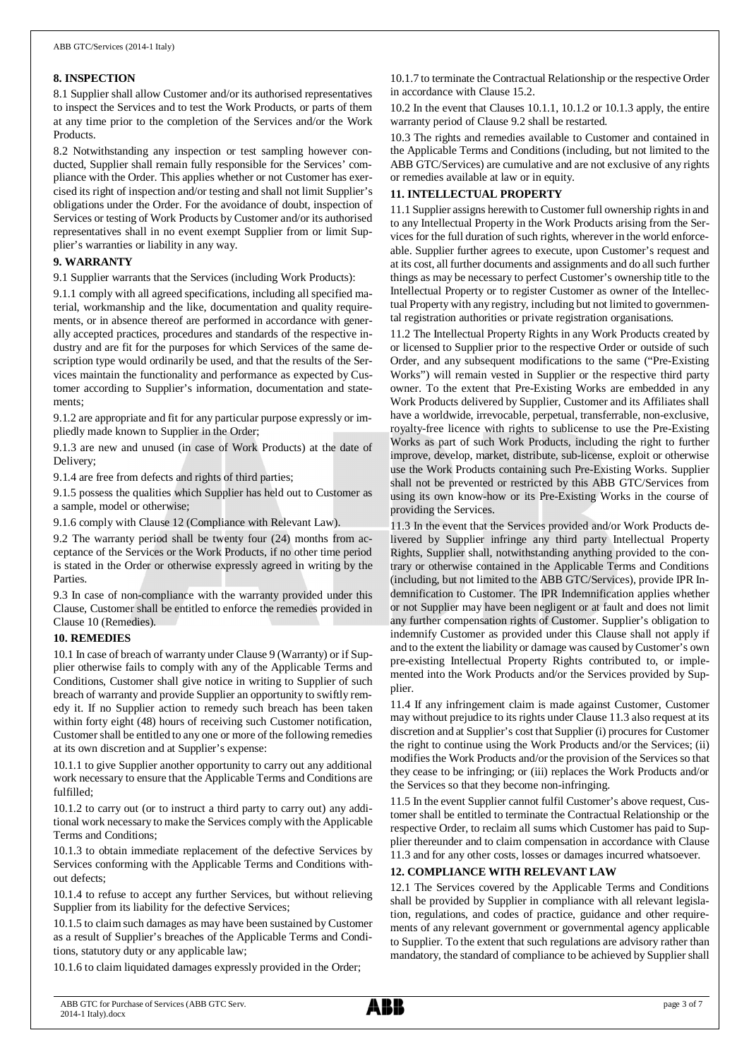### **8. INSPECTION**

8.1 Supplier shall allow Customer and/or its authorised representatives to inspect the Services and to test the Work Products, or parts of them at any time prior to the completion of the Services and/or the Work Products.

8.2 Notwithstanding any inspection or test sampling however conducted, Supplier shall remain fully responsible for the Services' compliance with the Order. This applies whether or not Customer has exercised its right of inspection and/or testing and shall not limit Supplier's obligations under the Order. For the avoidance of doubt, inspection of Services or testing of Work Products by Customer and/or its authorised representatives shall in no event exempt Supplier from or limit Supplier's warranties or liability in any way.

### **9. WARRANTY**

9.1 Supplier warrants that the Services (including Work Products):

9.1.1 comply with all agreed specifications, including all specified material, workmanship and the like, documentation and quality requirements, or in absence thereof are performed in accordance with generally accepted practices, procedures and standards of the respective industry and are fit for the purposes for which Services of the same description type would ordinarily be used, and that the results of the Services maintain the functionality and performance as expected by Customer according to Supplier's information, documentation and statements;

9.1.2 are appropriate and fit for any particular purpose expressly or impliedly made known to Supplier in the Order;

9.1.3 are new and unused (in case of Work Products) at the date of Delivery;

9.1.4 are free from defects and rights of third parties;

9.1.5 possess the qualities which Supplier has held out to Customer as a sample, model or otherwise;

9.1.6 comply with Clause 12 (Compliance with Relevant Law).

9.2 The warranty period shall be twenty four (24) months from acceptance of the Services or the Work Products, if no other time period is stated in the Order or otherwise expressly agreed in writing by the Parties.

9.3 In case of non-compliance with the warranty provided under this Clause, Customer shall be entitled to enforce the remedies provided in Clause 10 (Remedies).

### **10. REMEDIES**

10.1 In case of breach of warranty under Clause 9 (Warranty) or if Supplier otherwise fails to comply with any of the Applicable Terms and Conditions, Customer shall give notice in writing to Supplier of such breach of warranty and provide Supplier an opportunity to swiftly remedy it. If no Supplier action to remedy such breach has been taken within forty eight (48) hours of receiving such Customer notification, Customer shall be entitled to any one or more of the following remedies at its own discretion and at Supplier's expense:

10.1.1 to give Supplier another opportunity to carry out any additional work necessary to ensure that the Applicable Terms and Conditions are fulfilled;

10.1.2 to carry out (or to instruct a third party to carry out) any additional work necessary to make the Services comply with the Applicable Terms and Conditions;

10.1.3 to obtain immediate replacement of the defective Services by Services conforming with the Applicable Terms and Conditions without defects;

10.1.4 to refuse to accept any further Services, but without relieving Supplier from its liability for the defective Services:

10.1.5 to claim such damages as may have been sustained by Customer as a result of Supplier's breaches of the Applicable Terms and Conditions, statutory duty or any applicable law;

10.1.6 to claim liquidated damages expressly provided in the Order;

10.1.7 to terminate the Contractual Relationship or the respective Order in accordance with Clause 15.2.

10.2 In the event that Clauses 10.1.1, 10.1.2 or 10.1.3 apply, the entire warranty period of Clause 9.2 shall be restarted.

10.3 The rights and remedies available to Customer and contained in the Applicable Terms and Conditions (including, but not limited to the ABB GTC/Services) are cumulative and are not exclusive of any rights or remedies available at law or in equity.

### **11. INTELLECTUAL PROPERTY**

11.1 Supplier assigns herewith to Customer full ownership rights in and to any Intellectual Property in the Work Products arising from the Services for the full duration of such rights, wherever in the world enforceable. Supplier further agrees to execute, upon Customer's request and at its cost, all further documents and assignments and do all such further things as may be necessary to perfect Customer's ownership title to the Intellectual Property or to register Customer as owner of the Intellectual Property with any registry, including but not limited to governmental registration authorities or private registration organisations.

11.2 The Intellectual Property Rights in any Work Products created by or licensed to Supplier prior to the respective Order or outside of such Order, and any subsequent modifications to the same ("Pre-Existing Works") will remain vested in Supplier or the respective third party owner. To the extent that Pre-Existing Works are embedded in any Work Products delivered by Supplier, Customer and its Affiliates shall have a worldwide, irrevocable, perpetual, transferrable, non-exclusive, royalty-free licence with rights to sublicense to use the Pre-Existing Works as part of such Work Products, including the right to further improve, develop, market, distribute, sub-license, exploit or otherwise use the Work Products containing such Pre-Existing Works. Supplier shall not be prevented or restricted by this ABB GTC/Services from using its own know-how or its Pre-Existing Works in the course of providing the Services.

11.3 In the event that the Services provided and/or Work Products delivered by Supplier infringe any third party Intellectual Property Rights, Supplier shall, notwithstanding anything provided to the contrary or otherwise contained in the Applicable Terms and Conditions (including, but not limited to the ABB GTC/Services), provide IPR Indemnification to Customer. The IPR Indemnification applies whether or not Supplier may have been negligent or at fault and does not limit any further compensation rights of Customer. Supplier's obligation to indemnify Customer as provided under this Clause shall not apply if and to the extent the liability or damage was caused by Customer's own pre-existing Intellectual Property Rights contributed to, or implemented into the Work Products and/or the Services provided by Supplier.

11.4 If any infringement claim is made against Customer, Customer may without prejudice to its rights under Clause 11.3 also request at its discretion and at Supplier's cost that Supplier (i) procures for Customer the right to continue using the Work Products and/or the Services; (ii) modifies the Work Products and/or the provision of the Services so that they cease to be infringing; or (iii) replaces the Work Products and/or the Services so that they become non-infringing.

11.5 In the event Supplier cannot fulfil Customer's above request, Customer shall be entitled to terminate the Contractual Relationship or the respective Order, to reclaim all sums which Customer has paid to Supplier thereunder and to claim compensation in accordance with Clause 11.3 and for any other costs, losses or damages incurred whatsoever.

## **12. COMPLIANCE WITH RELEVANT LAW**

12.1 The Services covered by the Applicable Terms and Conditions shall be provided by Supplier in compliance with all relevant legislation, regulations, and codes of practice, guidance and other requirements of any relevant government or governmental agency applicable to Supplier. To the extent that such regulations are advisory rather than mandatory, the standard of compliance to be achieved by Supplier shall

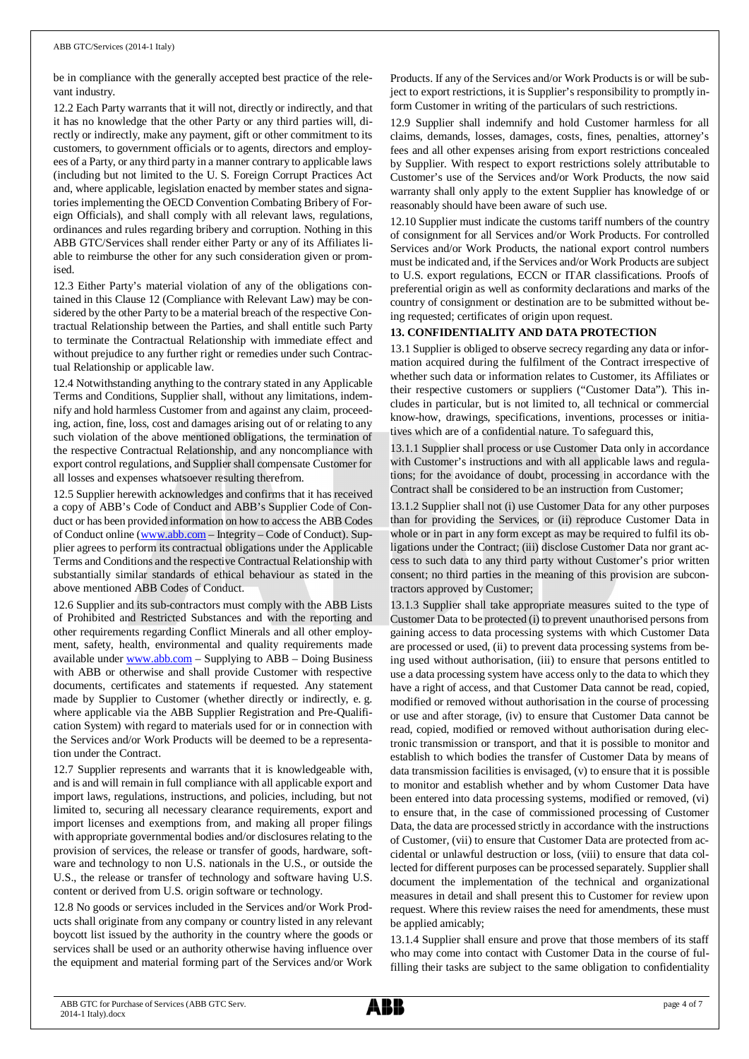be in compliance with the generally accepted best practice of the relevant industry.

12.2 Each Party warrants that it will not, directly or indirectly, and that it has no knowledge that the other Party or any third parties will, directly or indirectly, make any payment, gift or other commitment to its customers, to government officials or to agents, directors and employees of a Party, or any third party in a manner contrary to applicable laws (including but not limited to the U. S. Foreign Corrupt Practices Act and, where applicable, legislation enacted by member states and signatories implementing the OECD Convention Combating Bribery of Foreign Officials), and shall comply with all relevant laws, regulations, ordinances and rules regarding bribery and corruption. Nothing in this ABB GTC/Services shall render either Party or any of its Affiliates liable to reimburse the other for any such consideration given or promised.

12.3 Either Party's material violation of any of the obligations contained in this Clause 12 (Compliance with Relevant Law) may be considered by the other Party to be a material breach of the respective Contractual Relationship between the Parties, and shall entitle such Party to terminate the Contractual Relationship with immediate effect and without prejudice to any further right or remedies under such Contractual Relationship or applicable law.

12.4 Notwithstanding anything to the contrary stated in any Applicable Terms and Conditions, Supplier shall, without any limitations, indemnify and hold harmless Customer from and against any claim, proceeding, action, fine, loss, cost and damages arising out of or relating to any such violation of the above mentioned obligations, the termination of the respective Contractual Relationship, and any noncompliance with export control regulations, and Supplier shall compensate Customer for all losses and expenses whatsoever resulting therefrom.

12.5 Supplier herewith acknowledges and confirms that it has received a copy of ABB's Code of Conduct and ABB's Supplier Code of Conduct or has been provided information on how to access the ABB Codes of Conduct online ([www.abb.com](http://www.abb.com/) – Integrity – Code of Conduct). Supplier agrees to perform its contractual obligations under the Applicable Terms and Conditions and the respective Contractual Relationship with substantially similar standards of ethical behaviour as stated in the above mentioned ABB Codes of Conduct.

12.6 Supplier and its sub-contractors must comply with the ABB Lists of Prohibited and Restricted Substances and with the reporting and other requirements regarding Conflict Minerals and all other employment, safety, health, environmental and quality requirements made available under [www.abb.com](http://www.abb.com/) – Supplying to ABB – Doing Business with ABB or otherwise and shall provide Customer with respective documents, certificates and statements if requested. Any statement made by Supplier to Customer (whether directly or indirectly, e. g. where applicable via the ABB Supplier Registration and Pre-Qualification System) with regard to materials used for or in connection with the Services and/or Work Products will be deemed to be a representation under the Contract.

12.7 Supplier represents and warrants that it is knowledgeable with, and is and will remain in full compliance with all applicable export and import laws, regulations, instructions, and policies, including, but not limited to, securing all necessary clearance requirements, export and import licenses and exemptions from, and making all proper filings with appropriate governmental bodies and/or disclosures relating to the provision of services, the release or transfer of goods, hardware, software and technology to non U.S. nationals in the U.S., or outside the U.S., the release or transfer of technology and software having U.S. content or derived from U.S. origin software or technology.

12.8 No goods or services included in the Services and/or Work Products shall originate from any company or country listed in any relevant boycott list issued by the authority in the country where the goods or services shall be used or an authority otherwise having influence over the equipment and material forming part of the Services and/or Work

Products. If any of the Services and/or Work Products is or will be subject to export restrictions, it is Supplier's responsibility to promptly inform Customer in writing of the particulars of such restrictions.

12.9 Supplier shall indemnify and hold Customer harmless for all claims, demands, losses, damages, costs, fines, penalties, attorney's fees and all other expenses arising from export restrictions concealed by Supplier. With respect to export restrictions solely attributable to Customer's use of the Services and/or Work Products, the now said warranty shall only apply to the extent Supplier has knowledge of or reasonably should have been aware of such use.

12.10 Supplier must indicate the customs tariff numbers of the country of consignment for all Services and/or Work Products. For controlled Services and/or Work Products, the national export control numbers must be indicated and, if the Services and/or Work Products are subject to U.S. export regulations, ECCN or ITAR classifications. Proofs of preferential origin as well as conformity declarations and marks of the country of consignment or destination are to be submitted without being requested; certificates of origin upon request.

## **13. CONFIDENTIALITY AND DATA PROTECTION**

13.1 Supplier is obliged to observe secrecy regarding any data or information acquired during the fulfilment of the Contract irrespective of whether such data or information relates to Customer, its Affiliates or their respective customers or suppliers ("Customer Data"). This includes in particular, but is not limited to, all technical or commercial know-how, drawings, specifications, inventions, processes or initiatives which are of a confidential nature. To safeguard this,

13.1.1 Supplier shall process or use Customer Data only in accordance with Customer's instructions and with all applicable laws and regulations; for the avoidance of doubt, processing in accordance with the Contract shall be considered to be an instruction from Customer;

13.1.2 Supplier shall not (i) use Customer Data for any other purposes than for providing the Services, or (ii) reproduce Customer Data in whole or in part in any form except as may be required to fulfil its obligations under the Contract; (iii) disclose Customer Data nor grant access to such data to any third party without Customer's prior written consent; no third parties in the meaning of this provision are subcontractors approved by Customer;

13.1.3 Supplier shall take appropriate measures suited to the type of Customer Data to be protected (i) to prevent unauthorised persons from gaining access to data processing systems with which Customer Data are processed or used, (ii) to prevent data processing systems from being used without authorisation, (iii) to ensure that persons entitled to use a data processing system have access only to the data to which they have a right of access, and that Customer Data cannot be read, copied, modified or removed without authorisation in the course of processing or use and after storage, (iv) to ensure that Customer Data cannot be read, copied, modified or removed without authorisation during electronic transmission or transport, and that it is possible to monitor and establish to which bodies the transfer of Customer Data by means of data transmission facilities is envisaged, (v) to ensure that it is possible to monitor and establish whether and by whom Customer Data have been entered into data processing systems, modified or removed, (vi) to ensure that, in the case of commissioned processing of Customer Data, the data are processed strictly in accordance with the instructions of Customer, (vii) to ensure that Customer Data are protected from accidental or unlawful destruction or loss, (viii) to ensure that data collected for different purposes can be processed separately. Supplier shall document the implementation of the technical and organizational measures in detail and shall present this to Customer for review upon request. Where this review raises the need for amendments, these must be applied amicably;

13.1.4 Supplier shall ensure and prove that those members of its staff who may come into contact with Customer Data in the course of fulfilling their tasks are subject to the same obligation to confidentiality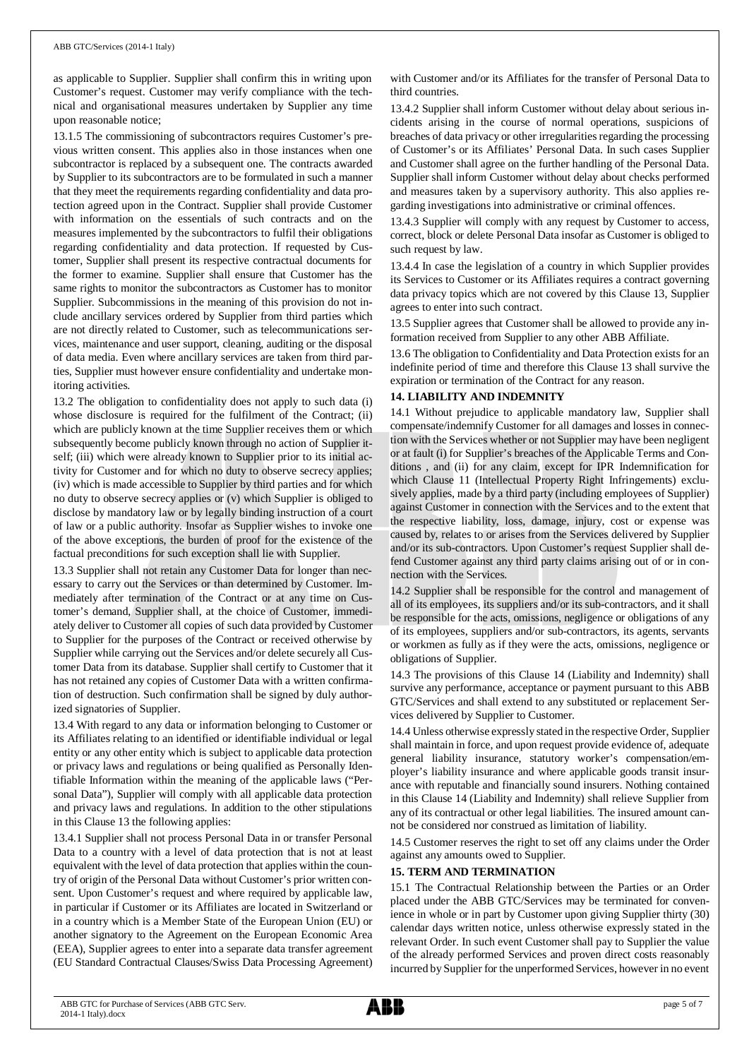as applicable to Supplier. Supplier shall confirm this in writing upon Customer's request. Customer may verify compliance with the technical and organisational measures undertaken by Supplier any time upon reasonable notice;

13.1.5 The commissioning of subcontractors requires Customer's previous written consent. This applies also in those instances when one subcontractor is replaced by a subsequent one. The contracts awarded by Supplier to its subcontractors are to be formulated in such a manner that they meet the requirements regarding confidentiality and data protection agreed upon in the Contract. Supplier shall provide Customer with information on the essentials of such contracts and on the measures implemented by the subcontractors to fulfil their obligations regarding confidentiality and data protection. If requested by Customer, Supplier shall present its respective contractual documents for the former to examine. Supplier shall ensure that Customer has the same rights to monitor the subcontractors as Customer has to monitor Supplier. Subcommissions in the meaning of this provision do not include ancillary services ordered by Supplier from third parties which are not directly related to Customer, such as telecommunications services, maintenance and user support, cleaning, auditing or the disposal of data media. Even where ancillary services are taken from third parties, Supplier must however ensure confidentiality and undertake monitoring activities.

13.2 The obligation to confidentiality does not apply to such data (i) whose disclosure is required for the fulfilment of the Contract; (ii) which are publicly known at the time Supplier receives them or which subsequently become publicly known through no action of Supplier itself; (iii) which were already known to Supplier prior to its initial activity for Customer and for which no duty to observe secrecy applies; (iv) which is made accessible to Supplier by third parties and for which no duty to observe secrecy applies or (v) which Supplier is obliged to disclose by mandatory law or by legally binding instruction of a court of law or a public authority. Insofar as Supplier wishes to invoke one of the above exceptions, the burden of proof for the existence of the factual preconditions for such exception shall lie with Supplier.

13.3 Supplier shall not retain any Customer Data for longer than necessary to carry out the Services or than determined by Customer. Immediately after termination of the Contract or at any time on Customer's demand, Supplier shall, at the choice of Customer, immediately deliver to Customer all copies of such data provided by Customer to Supplier for the purposes of the Contract or received otherwise by Supplier while carrying out the Services and/or delete securely all Customer Data from its database. Supplier shall certify to Customer that it has not retained any copies of Customer Data with a written confirmation of destruction. Such confirmation shall be signed by duly authorized signatories of Supplier.

13.4 With regard to any data or information belonging to Customer or its Affiliates relating to an identified or identifiable individual or legal entity or any other entity which is subject to applicable data protection or privacy laws and regulations or being qualified as Personally Identifiable Information within the meaning of the applicable laws ("Personal Data"), Supplier will comply with all applicable data protection and privacy laws and regulations. In addition to the other stipulations in this Clause 13 the following applies:

13.4.1 Supplier shall not process Personal Data in or transfer Personal Data to a country with a level of data protection that is not at least equivalent with the level of data protection that applies within the country of origin of the Personal Data without Customer's prior written consent. Upon Customer's request and where required by applicable law, in particular if Customer or its Affiliates are located in Switzerland or in a country which is a Member State of the European Union (EU) or another signatory to the Agreement on the European Economic Area (EEA), Supplier agrees to enter into a separate data transfer agreement (EU Standard Contractual Clauses/Swiss Data Processing Agreement) with Customer and/or its Affiliates for the transfer of Personal Data to third countries.

13.4.2 Supplier shall inform Customer without delay about serious incidents arising in the course of normal operations, suspicions of breaches of data privacy or other irregularities regarding the processing of Customer's or its Affiliates' Personal Data. In such cases Supplier and Customer shall agree on the further handling of the Personal Data. Supplier shall inform Customer without delay about checks performed and measures taken by a supervisory authority. This also applies regarding investigations into administrative or criminal offences.

13.4.3 Supplier will comply with any request by Customer to access, correct, block or delete Personal Data insofar as Customer is obliged to such request by law.

13.4.4 In case the legislation of a country in which Supplier provides its Services to Customer or its Affiliates requires a contract governing data privacy topics which are not covered by this Clause 13, Supplier agrees to enter into such contract.

13.5 Supplier agrees that Customer shall be allowed to provide any information received from Supplier to any other ABB Affiliate.

13.6 The obligation to Confidentiality and Data Protection exists for an indefinite period of time and therefore this Clause 13 shall survive the expiration or termination of the Contract for any reason.

## **14. LIABILITY AND INDEMNITY**

14.1 Without prejudice to applicable mandatory law, Supplier shall compensate/indemnify Customer for all damages and losses in connection with the Services whether or not Supplier may have been negligent or at fault (i) for Supplier's breaches of the Applicable Terms and Conditions , and (ii) for any claim, except for IPR Indemnification for which Clause 11 (Intellectual Property Right Infringements) exclusively applies, made by a third party (including employees of Supplier) against Customer in connection with the Services and to the extent that the respective liability, loss, damage, injury, cost or expense was caused by, relates to or arises from the Services delivered by Supplier and/or its sub-contractors. Upon Customer's request Supplier shall defend Customer against any third party claims arising out of or in connection with the Services.

14.2 Supplier shall be responsible for the control and management of all of its employees, its suppliers and/or its sub-contractors, and it shall be responsible for the acts, omissions, negligence or obligations of any of its employees, suppliers and/or sub-contractors, its agents, servants or workmen as fully as if they were the acts, omissions, negligence or obligations of Supplier.

14.3 The provisions of this Clause 14 (Liability and Indemnity) shall survive any performance, acceptance or payment pursuant to this ABB GTC/Services and shall extend to any substituted or replacement Services delivered by Supplier to Customer.

14.4 Unless otherwise expressly stated in the respective Order, Supplier shall maintain in force, and upon request provide evidence of, adequate general liability insurance, statutory worker's compensation/employer's liability insurance and where applicable goods transit insurance with reputable and financially sound insurers. Nothing contained in this Clause 14 (Liability and Indemnity) shall relieve Supplier from any of its contractual or other legal liabilities. The insured amount cannot be considered nor construed as limitation of liability.

14.5 Customer reserves the right to set off any claims under the Order against any amounts owed to Supplier.

# **15. TERM AND TERMINATION**

15.1 The Contractual Relationship between the Parties or an Order placed under the ABB GTC/Services may be terminated for convenience in whole or in part by Customer upon giving Supplier thirty (30) calendar days written notice, unless otherwise expressly stated in the relevant Order. In such event Customer shall pay to Supplier the value of the already performed Services and proven direct costs reasonably incurred by Supplier for the unperformed Services, however in no event

ABB GTC for Purchase of Services (ABB GTC Serv. 2014-1 Italy).docx

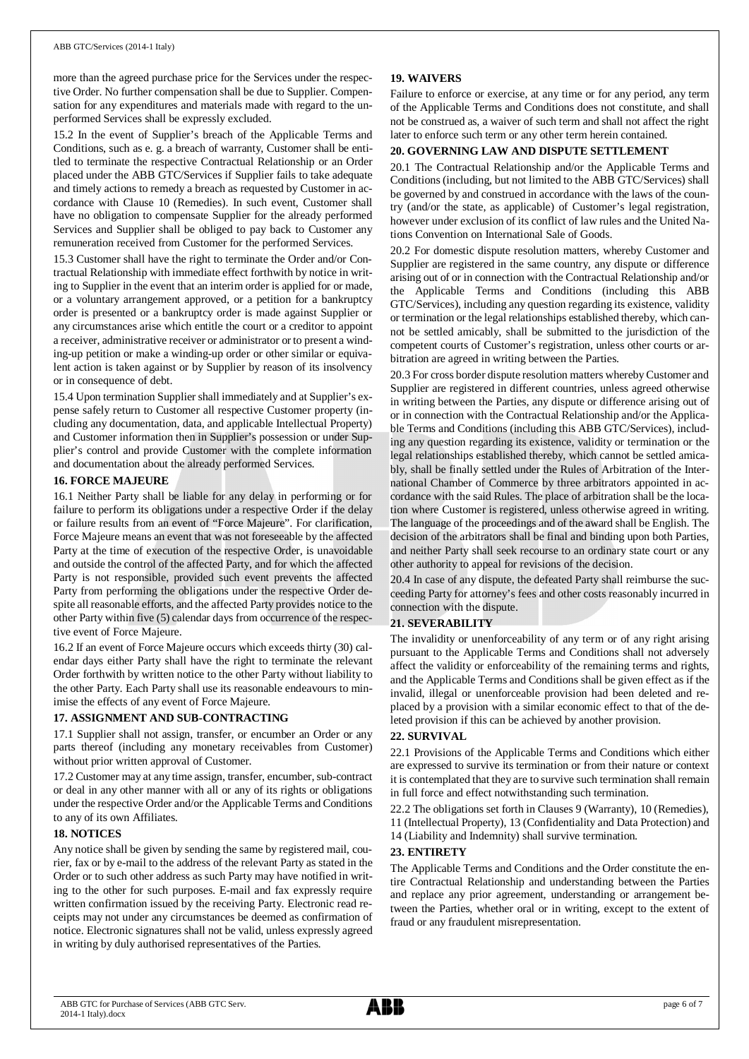more than the agreed purchase price for the Services under the respective Order. No further compensation shall be due to Supplier. Compensation for any expenditures and materials made with regard to the unperformed Services shall be expressly excluded.

15.2 In the event of Supplier's breach of the Applicable Terms and Conditions, such as e. g. a breach of warranty, Customer shall be entitled to terminate the respective Contractual Relationship or an Order placed under the ABB GTC/Services if Supplier fails to take adequate and timely actions to remedy a breach as requested by Customer in accordance with Clause 10 (Remedies). In such event, Customer shall have no obligation to compensate Supplier for the already performed Services and Supplier shall be obliged to pay back to Customer any remuneration received from Customer for the performed Services.

15.3 Customer shall have the right to terminate the Order and/or Contractual Relationship with immediate effect forthwith by notice in writing to Supplier in the event that an interim order is applied for or made, or a voluntary arrangement approved, or a petition for a bankruptcy order is presented or a bankruptcy order is made against Supplier or any circumstances arise which entitle the court or a creditor to appoint a receiver, administrative receiver or administrator or to present a winding-up petition or make a winding-up order or other similar or equivalent action is taken against or by Supplier by reason of its insolvency or in consequence of debt.

15.4 Upon termination Supplier shall immediately and at Supplier's expense safely return to Customer all respective Customer property (including any documentation, data, and applicable Intellectual Property) and Customer information then in Supplier's possession or under Supplier's control and provide Customer with the complete information and documentation about the already performed Services.

### **16. FORCE MAJEURE**

16.1 Neither Party shall be liable for any delay in performing or for failure to perform its obligations under a respective Order if the delay or failure results from an event of "Force Majeure". For clarification, Force Majeure means an event that was not foreseeable by the affected Party at the time of execution of the respective Order, is unavoidable and outside the control of the affected Party, and for which the affected Party is not responsible, provided such event prevents the affected Party from performing the obligations under the respective Order despite all reasonable efforts, and the affected Party provides notice to the other Party within five (5) calendar days from occurrence of the respective event of Force Majeure.

16.2 If an event of Force Majeure occurs which exceeds thirty (30) calendar days either Party shall have the right to terminate the relevant Order forthwith by written notice to the other Party without liability to the other Party. Each Party shall use its reasonable endeavours to minimise the effects of any event of Force Majeure.

### **17. ASSIGNMENT AND SUB-CONTRACTING**

17.1 Supplier shall not assign, transfer, or encumber an Order or any parts thereof (including any monetary receivables from Customer) without prior written approval of Customer.

17.2 Customer may at any time assign, transfer, encumber, sub-contract or deal in any other manner with all or any of its rights or obligations under the respective Order and/or the Applicable Terms and Conditions to any of its own Affiliates.

### **18. NOTICES**

Any notice shall be given by sending the same by registered mail, courier, fax or by e-mail to the address of the relevant Party as stated in the Order or to such other address as such Party may have notified in writing to the other for such purposes. E-mail and fax expressly require written confirmation issued by the receiving Party. Electronic read receipts may not under any circumstances be deemed as confirmation of notice. Electronic signatures shall not be valid, unless expressly agreed in writing by duly authorised representatives of the Parties.

### **19. WAIVERS**

Failure to enforce or exercise, at any time or for any period, any term of the Applicable Terms and Conditions does not constitute, and shall not be construed as, a waiver of such term and shall not affect the right later to enforce such term or any other term herein contained.

### **20. GOVERNING LAW AND DISPUTE SETTLEMENT**

20.1 The Contractual Relationship and/or the Applicable Terms and Conditions (including, but not limited to the ABB GTC/Services) shall be governed by and construed in accordance with the laws of the country (and/or the state, as applicable) of Customer's legal registration, however under exclusion of its conflict of law rules and the United Nations Convention on International Sale of Goods.

20.2 For domestic dispute resolution matters, whereby Customer and Supplier are registered in the same country, any dispute or difference arising out of or in connection with the Contractual Relationship and/or the Applicable Terms and Conditions (including this ABB GTC/Services), including any question regarding its existence, validity or termination or the legal relationships established thereby, which cannot be settled amicably, shall be submitted to the jurisdiction of the competent courts of Customer's registration, unless other courts or arbitration are agreed in writing between the Parties.

20.3 For cross border dispute resolution matters whereby Customer and Supplier are registered in different countries, unless agreed otherwise in writing between the Parties, any dispute or difference arising out of or in connection with the Contractual Relationship and/or the Applicable Terms and Conditions (including this ABB GTC/Services), including any question regarding its existence, validity or termination or the legal relationships established thereby, which cannot be settled amicably, shall be finally settled under the Rules of Arbitration of the International Chamber of Commerce by three arbitrators appointed in accordance with the said Rules. The place of arbitration shall be the location where Customer is registered, unless otherwise agreed in writing. The language of the proceedings and of the award shall be English. The decision of the arbitrators shall be final and binding upon both Parties, and neither Party shall seek recourse to an ordinary state court or any other authority to appeal for revisions of the decision.

20.4 In case of any dispute, the defeated Party shall reimburse the succeeding Party for attorney's fees and other costs reasonably incurred in connection with the dispute.

#### **21. SEVERABILITY**

The invalidity or unenforceability of any term or of any right arising pursuant to the Applicable Terms and Conditions shall not adversely affect the validity or enforceability of the remaining terms and rights, and the Applicable Terms and Conditions shall be given effect as if the invalid, illegal or unenforceable provision had been deleted and replaced by a provision with a similar economic effect to that of the deleted provision if this can be achieved by another provision.

#### **22. SURVIVAL**

22.1 Provisions of the Applicable Terms and Conditions which either are expressed to survive its termination or from their nature or context it is contemplated that they are to survive such termination shall remain in full force and effect notwithstanding such termination.

22.2 The obligations set forth in Clauses 9 (Warranty), 10 (Remedies), 11 (Intellectual Property), 13 (Confidentiality and Data Protection) and

14 (Liability and Indemnity) shall survive termination.

#### **23. ENTIRETY**

The Applicable Terms and Conditions and the Order constitute the entire Contractual Relationship and understanding between the Parties and replace any prior agreement, understanding or arrangement between the Parties, whether oral or in writing, except to the extent of fraud or any fraudulent misrepresentation.